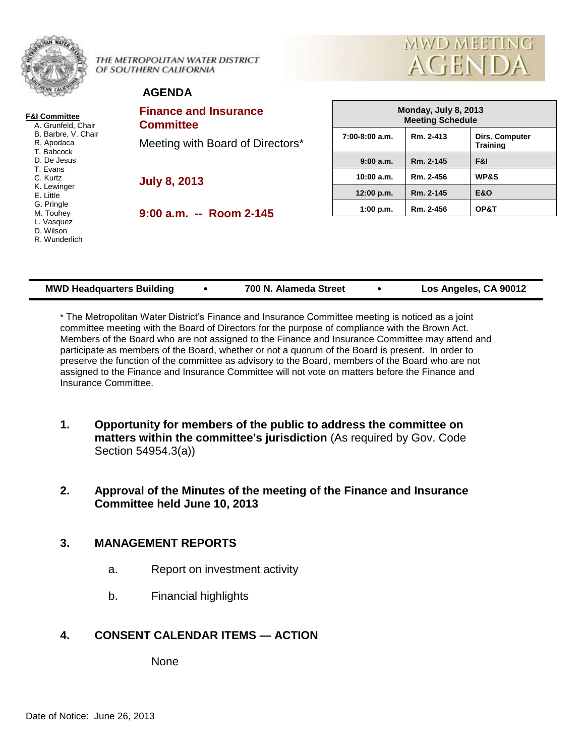|                                                    | THE METROPOLITAN WATER DISTRICT<br>OF SOUTHERN CALIFORNIA | MWD MEETING<br><b>AGENDA</b>                    |           |                                   |  |
|----------------------------------------------------|-----------------------------------------------------------|-------------------------------------------------|-----------|-----------------------------------|--|
|                                                    | <b>AGENDA</b>                                             |                                                 |           |                                   |  |
| <b>F&amp;I Committee</b><br>A. Grunfeld, Chair     | <b>Finance and Insurance</b><br><b>Committee</b>          | Monday, July 8, 2013<br><b>Meeting Schedule</b> |           |                                   |  |
| B. Barbre, V. Chair<br>R. Apodaca<br>T. Babcock    | Meeting with Board of Directors*                          | $7:00-8:00$ a.m.                                | Rm. 2-413 | Dirs. Computer<br><b>Training</b> |  |
| D. De Jesus                                        |                                                           | 9:00a.m.                                        | Rm. 2-145 | F&I                               |  |
| T. Evans<br>C. Kurtz                               | <b>July 8, 2013</b>                                       | 10:00 a.m.                                      | Rm. 2-456 | <b>WP&amp;S</b>                   |  |
| K. Lewinger<br>E. Little                           |                                                           | 12:00 p.m.                                      | Rm. 2-145 | <b>E&amp;O</b>                    |  |
| G. Pringle<br>M. Touhey<br>L. Vasquez<br>D. Wilson | $9:00$ a.m. -- Room 2-145                                 | 1:00 p.m.                                       | Rm. 2-456 | OP&T                              |  |
| R. Wunderlich                                      |                                                           |                                                 |           |                                   |  |

| <b>MWD Headquarters Building</b> |  | 700 N. Alameda Street |  | Los Angeles, CA 90012 |
|----------------------------------|--|-----------------------|--|-----------------------|
|----------------------------------|--|-----------------------|--|-----------------------|

\* The Metropolitan Water District's Finance and Insurance Committee meeting is noticed as a joint committee meeting with the Board of Directors for the purpose of compliance with the Brown Act. Members of the Board who are not assigned to the Finance and Insurance Committee may attend and participate as members of the Board, whether or not a quorum of the Board is present. In order to preserve the function of the committee as advisory to the Board, members of the Board who are not assigned to the Finance and Insurance Committee will not vote on matters before the Finance and Insurance Committee.

- **1. Opportunity for members of the public to address the committee on matters within the committee's jurisdiction** (As required by Gov. Code Section 54954.3(a))
- **2. Approval of the Minutes of the meeting of the Finance and Insurance Committee held June 10, 2013**

# **3. MANAGEMENT REPORTS**

- a. Report on investment activity
- b. Financial highlights

# **4. CONSENT CALENDAR ITEMS — ACTION**

None